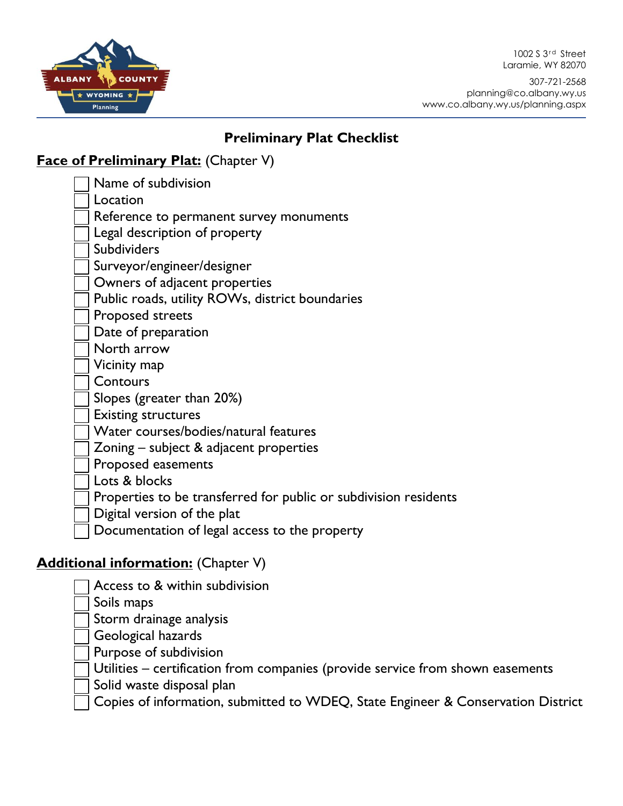1002 S 3<sup>rd</sup> Street Laramie, WY 82070



307-721-2568 planning@co.albany.wy.us www.co.albany.wy.us/planning.aspx

## **Preliminary Plat Checklist**

## **Face of Preliminary Plat:** (Chapter V)

Name of subdivision

Location

Reference to permanent survey monuments

Legal description of property

Subdividers

Surveyor/engineer/designer

Owners of adjacent properties

Public roads, utility ROWs, district boundaries

Proposed streets

Date of preparation

North arrow

Vicinity map

**Contours** 

Slopes (greater than 20%)

Existing structures

Water courses/bodies/natural features

Zoning – subject & adjacent properties

Proposed easements

Lots & blocks

Properties to be transferred for public or subdivision residents

Digital version of the plat

Documentation of legal access to the property

## **Additional information:** (Chapter V)

Access to & within subdivision

Soils maps

Storm drainage analysis

Geological hazards

Purpose of subdivision

Utilities – certification from companies (provide service from shown easements

Solid waste disposal plan

Copies of information, submitted to WDEQ, State Engineer & Conservation District